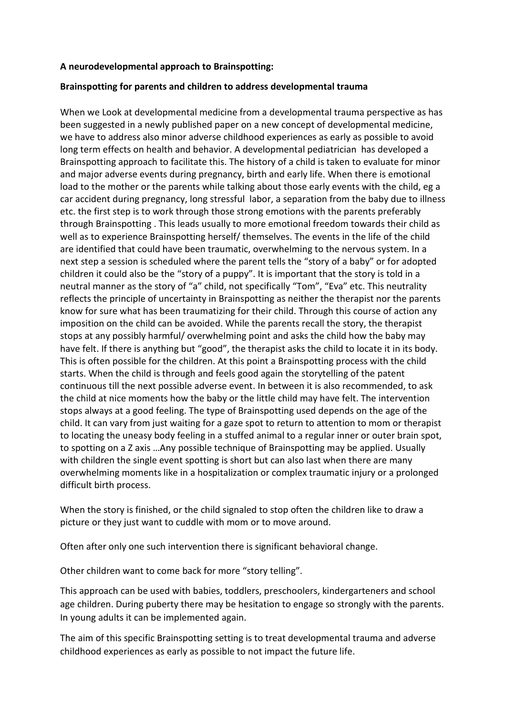## **A neurodevelopmental approach to Brainspotting:**

## **Brainspotting for parents and children to address developmental trauma**

When we Look at developmental medicine from a developmental trauma perspective as has been suggested in a newly published paper on a new concept of developmental medicine, we have to address also minor adverse childhood experiences as early as possible to avoid long term effects on health and behavior. A developmental pediatrician has developed a Brainspotting approach to facilitate this. The history of a child is taken to evaluate for minor and major adverse events during pregnancy, birth and early life. When there is emotional load to the mother or the parents while talking about those early events with the child, eg a car accident during pregnancy, long stressful labor, a separation from the baby due to illness etc. the first step is to work through those strong emotions with the parents preferably through Brainspotting . This leads usually to more emotional freedom towards their child as well as to experience Brainspotting herself/ themselves. The events in the life of the child are identified that could have been traumatic, overwhelming to the nervous system. In a next step a session is scheduled where the parent tells the "story of a baby" or for adopted children it could also be the "story of a puppy". It is important that the story is told in a neutral manner as the story of "a" child, not specifically "Tom", "Eva" etc. This neutrality reflects the principle of uncertainty in Brainspotting as neither the therapist nor the parents know for sure what has been traumatizing for their child. Through this course of action any imposition on the child can be avoided. While the parents recall the story, the therapist stops at any possibly harmful/ overwhelming point and asks the child how the baby may have felt. If there is anything but "good", the therapist asks the child to locate it in its body. This is often possible for the children. At this point a Brainspotting process with the child starts. When the child is through and feels good again the storytelling of the patent continuous till the next possible adverse event. In between it is also recommended, to ask the child at nice moments how the baby or the little child may have felt. The intervention stops always at a good feeling. The type of Brainspotting used depends on the age of the child. It can vary from just waiting for a gaze spot to return to attention to mom or therapist to locating the uneasy body feeling in a stuffed animal to a regular inner or outer brain spot, to spotting on a Z axis …Any possible technique of Brainspotting may be applied. Usually with children the single event spotting is short but can also last when there are many overwhelming moments like in a hospitalization or complex traumatic injury or a prolonged difficult birth process.

When the story is finished, or the child signaled to stop often the children like to draw a picture or they just want to cuddle with mom or to move around.

Often after only one such intervention there is significant behavioral change.

Other children want to come back for more "story telling".

This approach can be used with babies, toddlers, preschoolers, kindergarteners and school age children. During puberty there may be hesitation to engage so strongly with the parents. In young adults it can be implemented again.

The aim of this specific Brainspotting setting is to treat developmental trauma and adverse childhood experiences as early as possible to not impact the future life.